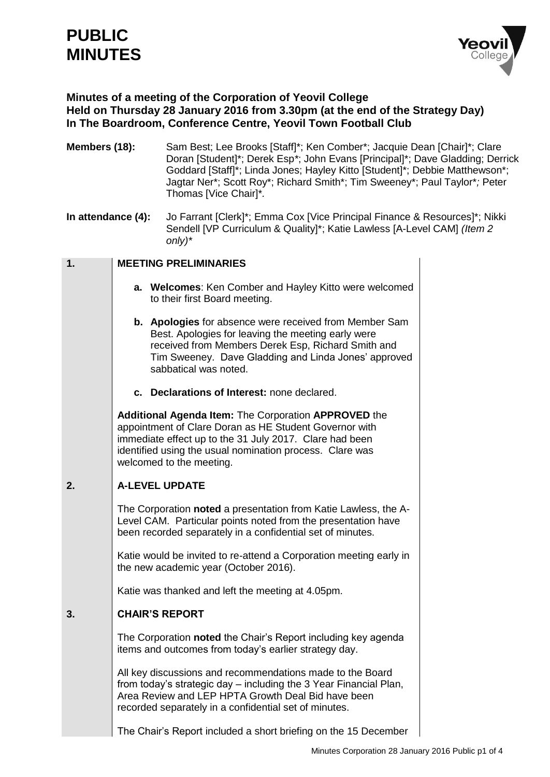# **PUBLIC MINUTES**



### **Minutes of a meeting of the Corporation of Yeovil College Held on Thursday 28 January 2016 from 3.30pm (at the end of the Strategy Day) In The Boardroom, Conference Centre, Yeovil Town Football Club**

| Members (18):      |  | Sam Best; Lee Brooks [Staff]*; Ken Comber*; Jacquie Dean [Chair]*; Clare<br>Doran [Student]*; Derek Esp*; John Evans [Principal]*; Dave Gladding; Derrick<br>Goddard [Staff]*; Linda Jones; Hayley Kitto [Student]*; Debbie Matthewson*;<br>Jagtar Ner*; Scott Roy*; Richard Smith*; Tim Sweeney*; Paul Taylor*; Peter<br>Thomas [Vice Chair]*. |  |  |
|--------------------|--|-------------------------------------------------------------------------------------------------------------------------------------------------------------------------------------------------------------------------------------------------------------------------------------------------------------------------------------------------|--|--|
| In attendance (4): |  | Jo Farrant [Clerk]*; Emma Cox [Vice Principal Finance & Resources]*; Nikki<br>Sendell [VP Curriculum & Quality]*; Katie Lawless [A-Level CAM] (Item 2<br>$only)$ *                                                                                                                                                                              |  |  |
| 1.                 |  | <b>MEETING PRELIMINARIES</b>                                                                                                                                                                                                                                                                                                                    |  |  |
|                    |  | a. Welcomes: Ken Comber and Hayley Kitto were welcomed<br>to their first Board meeting.                                                                                                                                                                                                                                                         |  |  |
|                    |  | <b>b.</b> Apologies for absence were received from Member Sam<br>Best. Apologies for leaving the meeting early were<br>received from Members Derek Esp, Richard Smith and<br>Tim Sweeney. Dave Gladding and Linda Jones' approved<br>sabbatical was noted.                                                                                      |  |  |
|                    |  | c. Declarations of Interest: none declared.                                                                                                                                                                                                                                                                                                     |  |  |
|                    |  | Additional Agenda Item: The Corporation APPROVED the<br>appointment of Clare Doran as HE Student Governor with<br>immediate effect up to the 31 July 2017. Clare had been<br>identified using the usual nomination process. Clare was<br>welcomed to the meeting.                                                                               |  |  |
| 2.                 |  | <b>A-LEVEL UPDATE</b>                                                                                                                                                                                                                                                                                                                           |  |  |
|                    |  | The Corporation noted a presentation from Katie Lawless, the A-<br>Level CAM. Particular points noted from the presentation have<br>been recorded separately in a confidential set of minutes.                                                                                                                                                  |  |  |
|                    |  | Katie would be invited to re-attend a Corporation meeting early in<br>the new academic year (October 2016).                                                                                                                                                                                                                                     |  |  |
|                    |  | Katie was thanked and left the meeting at 4.05pm.                                                                                                                                                                                                                                                                                               |  |  |
| 3.                 |  | <b>CHAIR'S REPORT</b>                                                                                                                                                                                                                                                                                                                           |  |  |
|                    |  | The Corporation noted the Chair's Report including key agenda<br>items and outcomes from today's earlier strategy day.                                                                                                                                                                                                                          |  |  |
|                    |  | All key discussions and recommendations made to the Board<br>from today's strategic day - including the 3 Year Financial Plan,<br>Area Review and LEP HPTA Growth Deal Bid have been<br>recorded separately in a confidential set of minutes.                                                                                                   |  |  |
|                    |  | The Chair's Report included a short briefing on the 15 December                                                                                                                                                                                                                                                                                 |  |  |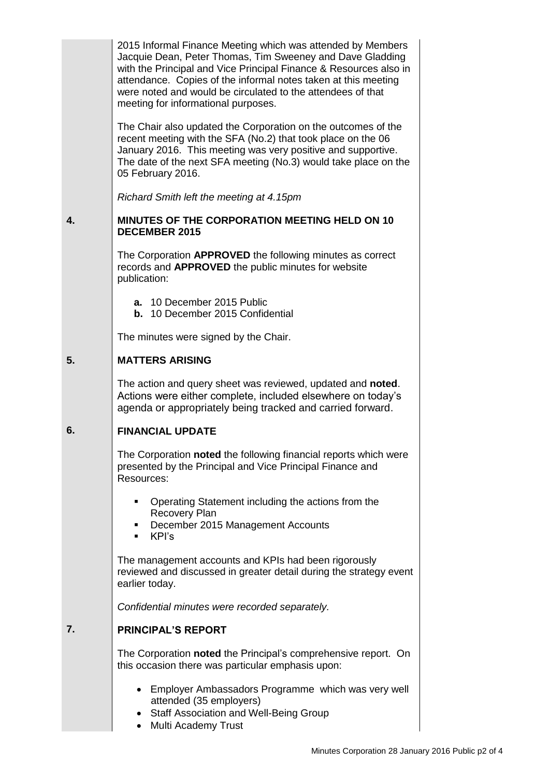|    | 2015 Informal Finance Meeting which was attended by Members<br>Jacquie Dean, Peter Thomas, Tim Sweeney and Dave Gladding<br>with the Principal and Vice Principal Finance & Resources also in<br>attendance. Copies of the informal notes taken at this meeting<br>were noted and would be circulated to the attendees of that<br>meeting for informational purposes. |  |  |  |
|----|-----------------------------------------------------------------------------------------------------------------------------------------------------------------------------------------------------------------------------------------------------------------------------------------------------------------------------------------------------------------------|--|--|--|
|    | The Chair also updated the Corporation on the outcomes of the<br>recent meeting with the SFA (No.2) that took place on the 06<br>January 2016. This meeting was very positive and supportive.<br>The date of the next SFA meeting (No.3) would take place on the<br>05 February 2016.                                                                                 |  |  |  |
|    | Richard Smith left the meeting at 4.15pm                                                                                                                                                                                                                                                                                                                              |  |  |  |
| 4. | <b>MINUTES OF THE CORPORATION MEETING HELD ON 10</b><br><b>DECEMBER 2015</b>                                                                                                                                                                                                                                                                                          |  |  |  |
|    | The Corporation APPROVED the following minutes as correct<br>records and <b>APPROVED</b> the public minutes for website<br>publication:                                                                                                                                                                                                                               |  |  |  |
|    | a. 10 December 2015 Public<br><b>b.</b> 10 December 2015 Confidential                                                                                                                                                                                                                                                                                                 |  |  |  |
|    | The minutes were signed by the Chair.                                                                                                                                                                                                                                                                                                                                 |  |  |  |
| 5. | <b>MATTERS ARISING</b>                                                                                                                                                                                                                                                                                                                                                |  |  |  |
|    | The action and query sheet was reviewed, updated and <b>noted</b> .<br>Actions were either complete, included elsewhere on today's<br>agenda or appropriately being tracked and carried forward.                                                                                                                                                                      |  |  |  |
| 6. | <b>FINANCIAL UPDATE</b>                                                                                                                                                                                                                                                                                                                                               |  |  |  |
|    | The Corporation noted the following financial reports which were<br>presented by the Principal and Vice Principal Finance and<br>Resources:                                                                                                                                                                                                                           |  |  |  |
|    | Operating Statement including the actions from the<br>٠<br><b>Recovery Plan</b><br>December 2015 Management Accounts<br>٠<br>KPI's<br>٠                                                                                                                                                                                                                               |  |  |  |
|    | The management accounts and KPIs had been rigorously<br>reviewed and discussed in greater detail during the strategy event<br>earlier today.                                                                                                                                                                                                                          |  |  |  |
|    | Confidential minutes were recorded separately.                                                                                                                                                                                                                                                                                                                        |  |  |  |
| 7. | <b>PRINCIPAL'S REPORT</b>                                                                                                                                                                                                                                                                                                                                             |  |  |  |
|    | The Corporation noted the Principal's comprehensive report. On<br>this occasion there was particular emphasis upon:                                                                                                                                                                                                                                                   |  |  |  |
|    | Employer Ambassadors Programme which was very well<br>$\bullet$<br>attended (35 employers)<br>Staff Association and Well-Being Group<br>$\bullet$                                                                                                                                                                                                                     |  |  |  |

• Multi Academy Trust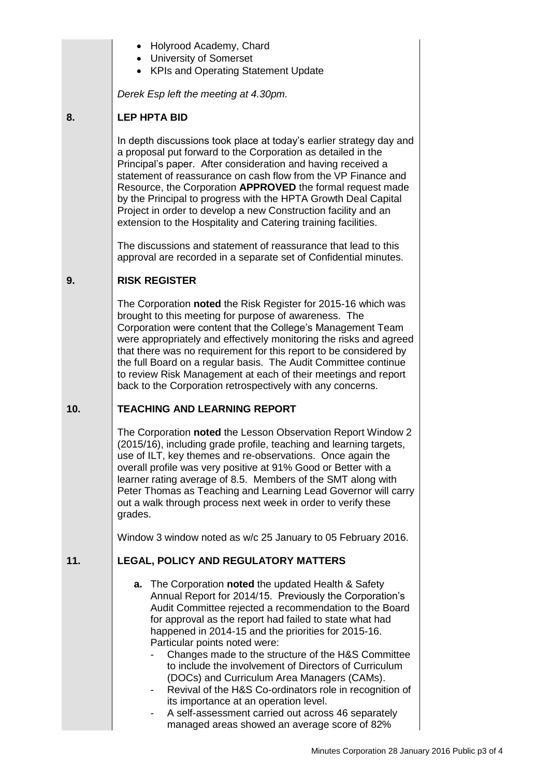- Holyrood Academy, Chard
- University of Somerset
- KPIs and Operating Statement Update

*Derek Esp left the meeting at 4.30pm.*

#### **8. LEP HPTA BID**

In depth discussions took place at today's earlier strategy day and a proposal put forward to the Corporation as detailed in the Principal's paper. After consideration and having received a statement of reassurance on cash flow from the VP Finance and Resource, the Corporation **APPROVED** the formal request made by the Principal to progress with the HPTA Growth Deal Capital Project in order to develop a new Construction facility and an extension to the Hospitality and Catering training facilities.

The discussions and statement of reassurance that lead to this approval are recorded in a separate set of Confidential minutes.

#### **9. RISK REGISTER**

The Corporation **noted** the Risk Register for 2015-16 which was brought to this meeting for purpose of awareness. The Corporation were content that the College's Management Team were appropriately and effectively monitoring the risks and agreed that there was no requirement for this report to be considered by the full Board on a regular basis. The Audit Committee continue to review Risk Management at each of their meetings and report back to the Corporation retrospectively with any concerns.

#### **10. TEACHING AND LEARNING REPORT**

The Corporation **noted** the Lesson Observation Report Window 2 (2015/16), including grade profile, teaching and learning targets, use of ILT, key themes and re-observations. Once again the overall profile was very positive at 91% Good or Better with a learner rating average of 8.5. Members of the SMT along with Peter Thomas as Teaching and Learning Lead Governor will carry out a walk through process next week in order to verify these grades.

Window 3 window noted as w/c 25 January to 05 February 2016.

#### **11. LEGAL, POLICY AND REGULATORY MATTERS**

- **a.** The Corporation **noted** the updated Health & Safety Annual Report for 2014/15. Previously the Corporation's Audit Committee rejected a recommendation to the Board for approval as the report had failed to state what had happened in 2014-15 and the priorities for 2015-16. Particular points noted were:
	- Changes made to the structure of the H&S Committee to include the involvement of Directors of Curriculum (DOCs) and Curriculum Area Managers (CAMs).
	- Revival of the H&S Co-ordinators role in recognition of its importance at an operation level.
	- A self-assessment carried out across 46 separately managed areas showed an average score of 82%